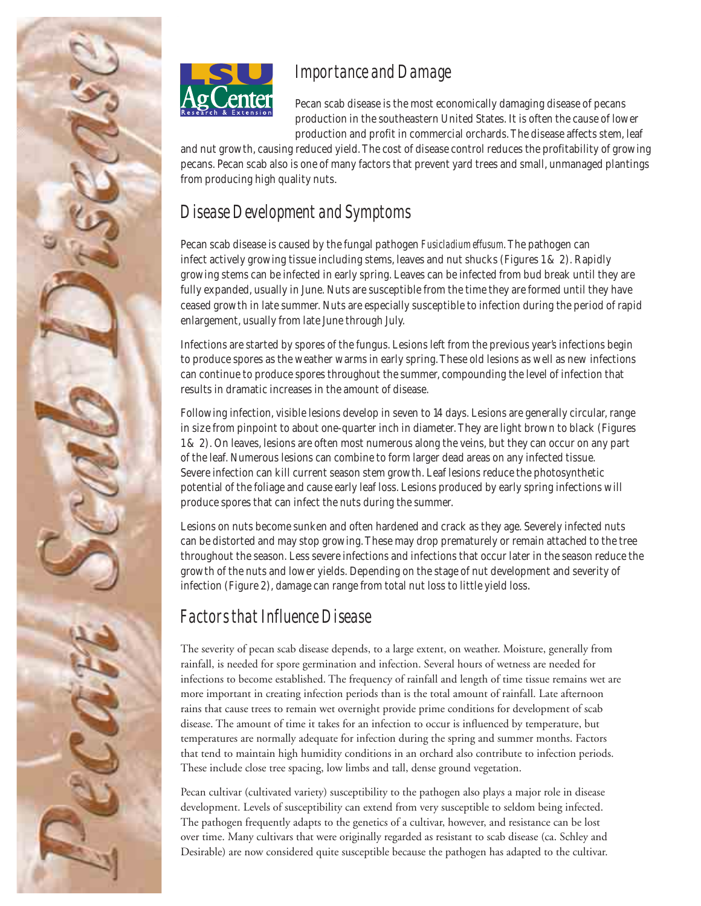



## *Importance and Damage*

Pecan scab disease is the most economically damaging disease of pecans production in the southeastern United States. It is often the cause of lower production and profit in commercial orchards. The disease affects stem, leaf

and nut growth, causing reduced yield. The cost of disease control reduces the profitability of growing pecans. Pecan scab also is one of many factors that prevent yard trees and small, unmanaged plantings from producing high quality nuts.

## *Disease Development and Symptoms*

Pecan scab disease is caused by the fungal pathogen *Fusicladium effusum*. The pathogen can infect actively growing tissue including stems, leaves and nut shucks (Figures 1 & 2). Rapidly growing stems can be infected in early spring. Leaves can be infected from bud break until they are fully expanded, usually in June. Nuts are susceptible from the time they are formed until they have ceased growth in late summer. Nuts are especially susceptible to infection during the period of rapid enlargement, usually from late June through July.

Infections are started by spores of the fungus. Lesions left from the previous year's infections begin to produce spores as the weather warms in early spring. These old lesions as well as new infections can continue to produce spores throughout the summer, compounding the level of infection that results in dramatic increases in the amount of disease.

Following infection, visible lesions develop in seven to 14 days. Lesions are generally circular, range in size from pinpoint to about one-quarter inch in diameter. They are light brown to black (Figures 1 & 2). On leaves, lesions are often most numerous along the veins, but they can occur on any part of the leaf. Numerous lesions can combine to form larger dead areas on any infected tissue. Severe infection can kill current season stem growth. Leaf lesions reduce the photosynthetic potential of the foliage and cause early leaf loss. Lesions produced by early spring infections will produce spores that can infect the nuts during the summer.

Lesions on nuts become sunken and often hardened and crack as they age. Severely infected nuts can be distorted and may stop growing. These may drop prematurely or remain attached to the tree throughout the season. Less severe infections and infections that occur later in the season reduce the growth of the nuts and lower yields. Depending on the stage of nut development and severity of infection (Figure 2), damage can range from total nut loss to little yield loss.

## *Factors that Influence Disease*

The severity of pecan scab disease depends, to a large extent, on weather. Moisture, generally from rainfall, is needed for spore germination and infection. Several hours of wetness are needed for infections to become established. The frequency of rainfall and length of time tissue remains wet are more important in creating infection periods than is the total amount of rainfall. Late afternoon rains that cause trees to remain wet overnight provide prime conditions for development of scab disease. The amount of time it takes for an infection to occur is influenced by temperature, but temperatures are normally adequate for infection during the spring and summer months. Factors that tend to maintain high humidity conditions in an orchard also contribute to infection periods. These include close tree spacing, low limbs and tall, dense ground vegetation.

Pecan cultivar (cultivated variety) susceptibility to the pathogen also plays a major role in disease development. Levels of susceptibility can extend from very susceptible to seldom being infected. The pathogen frequently adapts to the genetics of a cultivar, however, and resistance can be lost over time. Many cultivars that were originally regarded as resistant to scab disease (ca. Schley and Desirable) are now considered quite susceptible because the pathogen has adapted to the cultivar.